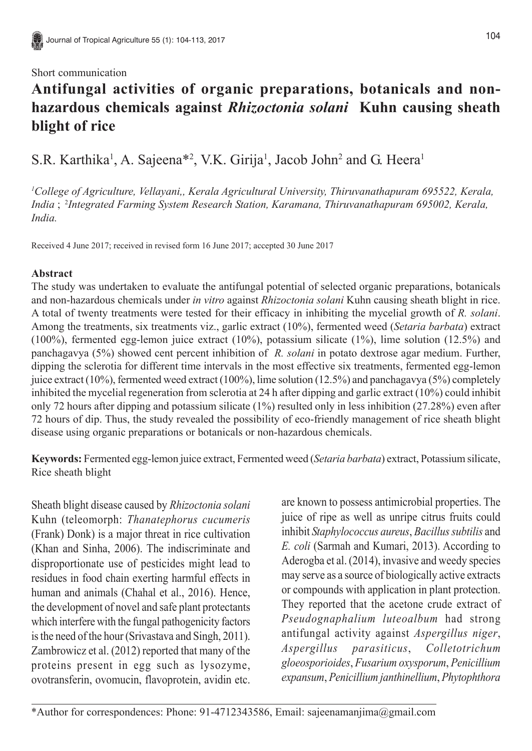## Short communication

## **Antifungal activities of organic preparations, botanicals and nonhazardous chemicals against** *Rhizoctonia solani* **Kuhn causing sheath blight of rice**

S.R. Karthika<sup>1</sup>, A. Sajeena<sup>\*2</sup>, V.K. Girija<sup>1</sup>, Jacob John<sup>2</sup> and G. Heera<sup>1</sup>

*1 College of Agriculture, Vellayani,, Kerala Agricultural University, Thiruvanathapuram 695522, Kerala, India* ; 2*Integrated Farming System Research Station, Karamana, Thiruvanathapuram 695002, Kerala, India.*

Received 4 June 2017; received in revised form 16 June 2017; accepted 30 June 2017

## **Abstract**

The study was undertaken to evaluate the antifungal potential of selected organic preparations, botanicals and non-hazardous chemicals under *in vitro* against *Rhizoctonia solani* Kuhn causing sheath blight in rice. A total of twenty treatments were tested for their efficacy in inhibiting the mycelial growth of *R. solani*. Among the treatments, six treatments viz., garlic extract (10%), fermented weed (*Setaria barbata*) extract (100%), fermented egg-lemon juice extract (10%), potassium silicate (1%), lime solution (12.5%) and panchagavya (5%) showed cent percent inhibition of *R. solani* in potato dextrose agar medium. Further, dipping the sclerotia for different time intervals in the most effective six treatments, fermented egg-lemon juice extract (10%), fermented weed extract (100%), lime solution (12.5%) and panchagavya (5%) completely inhibited the mycelial regeneration from sclerotia at 24 h after dipping and garlic extract (10%) could inhibit only 72 hours after dipping and potassium silicate (1%) resulted only in less inhibition (27.28%) even after 72 hours of dip. Thus, the study revealed the possibility of eco-friendly management of rice sheath blight disease using organic preparations or botanicals or non-hazardous chemicals.

**Keywords:** Fermented egg-lemon juice extract, Fermented weed (*Setaria barbata*) extract, Potassium silicate, Rice sheath blight

Sheath blight disease caused by *Rhizoctonia solani* Kuhn (teleomorph: *Thanatephorus cucumeris* (Frank) Donk) is a major threat in rice cultivation (Khan and Sinha, 2006). The indiscriminate and disproportionate use of pesticides might lead to residues in food chain exerting harmful effects in human and animals (Chahal et al., 2016). Hence, the development of novel and safe plant protectants which interfere with the fungal pathogenicity factors is the need of the hour (Srivastava and Singh, 2011). Zambrowicz et al. (2012) reported that many of the proteins present in egg such as lysozyme, ovotransferin, ovomucin, flavoprotein, avidin etc. are known to possess antimicrobial properties. The juice of ripe as well as unripe citrus fruits could inhibit *Staphylococcus aureus*, *Bacillus subtilis* and *E. coli* (Sarmah and Kumari, 2013). According to Aderogba et al. (2014), invasive and weedy species may serve as a source of biologically active extracts or compounds with application in plant protection. They reported that the acetone crude extract of *Pseudognaphalium luteoalbum* had strong antifungal activity against *Aspergillus niger*, *Aspergillus parasiticus*, *Colletotrichum gloeosporioides*, *Fusarium oxysporum*, *Penicillium expansum*, *Penicillium janthinellium*, *Phytophthora*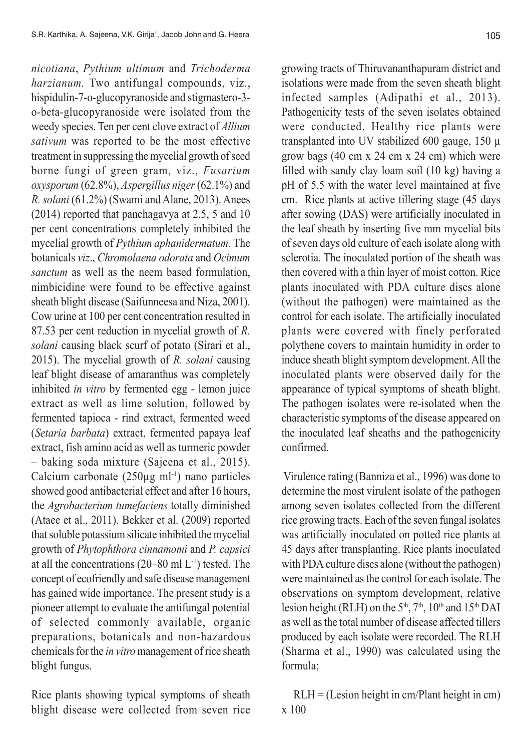*nicotiana*, *Pythium ultimum* and *Trichoderma harzianum.* Two antifungal compounds, viz., hispidulin-7-o-glucopyranoside and stigmastero-3 o-beta-glucopyranoside were isolated from the weedy species. Ten per cent clove extract of *Allium sativum* was reported to be the most effective treatment in suppressing the mycelial growth of seed borne fungi of green gram, viz., *Fusarium oxysporum* (62.8%), *Aspergillus niger* (62.1%) and *R. solani* (61.2%) (Swami and Alane, 2013). Anees (2014) reported that panchagavya at 2.5, 5 and 10 per cent concentrations completely inhibited the mycelial growth of *Pythium aphanidermatum*. The botanicals *viz*., *Chromolaena odorata* and *Ocimum sanctum* as well as the neem based formulation, nimbicidine were found to be effective against sheath blight disease (Saifunneesa and Niza, 2001). Cow urine at 100 per cent concentration resulted in 87.53 per cent reduction in mycelial growth of *R. solani* causing black scurf of potato (Sirari et al., 2015). The mycelial growth of *R. solani* causing leaf blight disease of amaranthus was completely inhibited *in vitro* by fermented egg - lemon juice extract as well as lime solution, followed by fermented tapioca - rind extract, fermented weed (*Setaria barbata*) extract, fermented papaya leaf extract, fish amino acid as well as turmeric powder – baking soda mixture (Sajeena et al., 2015). Calcium carbonate  $(250\mu g \text{ ml}^{-1})$  nano particles showed good antibacterial effect and after 16 hours, the *Agrobacterium tumefaciens* totally diminished (Ataee et al., 2011). Bekker et al. (2009) reported that soluble potassium silicate inhibited the mycelial growth of *Phytophthora cinnamomi* and *P. capsici* at all the concentrations  $(20-80 \text{ ml L}^{-1})$  tested. The concept of ecofriendly and safe disease management has gained wide importance. The present study is a pioneer attempt to evaluate the antifungal potential of selected commonly available, organic preparations, botanicals and non-hazardous chemicals for the *in vitro* management of rice sheath blight fungus.

Rice plants showing typical symptoms of sheath blight disease were collected from seven rice growing tracts of Thiruvananthapuram district and isolations were made from the seven sheath blight infected samples (Adipathi et al., 2013). Pathogenicity tests of the seven isolates obtained were conducted. Healthy rice plants were transplanted into UV stabilized 600 gauge, 150 µ grow bags (40 cm x 24 cm x 24 cm) which were filled with sandy clay loam soil (10 kg) having a pH of 5.5 with the water level maintained at five cm. Rice plants at active tillering stage (45 days after sowing (DAS) were artificially inoculated in the leaf sheath by inserting five mm mycelial bits of seven days old culture of each isolate along with sclerotia. The inoculated portion of the sheath was then covered with a thin layer of moist cotton. Rice plants inoculated with PDA culture discs alone (without the pathogen) were maintained as the control for each isolate. The artificially inoculated plants were covered with finely perforated polythene covers to maintain humidity in order to induce sheath blight symptom development. All the inoculated plants were observed daily for the appearance of typical symptoms of sheath blight. The pathogen isolates were re-isolated when the characteristic symptoms of the disease appeared on the inoculated leaf sheaths and the pathogenicity confirmed.

 Virulence rating (Banniza et al., 1996) was done to determine the most virulent isolate of the pathogen among seven isolates collected from the different rice growing tracts. Each of the seven fungal isolates was artificially inoculated on potted rice plants at 45 days after transplanting. Rice plants inoculated with PDA culture discs alone (without the pathogen) were maintained as the control for each isolate. The observations on symptom development, relative lesion height (RLH) on the  $5<sup>th</sup>$ ,  $7<sup>th</sup>$ ,  $10<sup>th</sup>$  and  $15<sup>th</sup>$  DAI as well as the total number of disease affected tillers produced by each isolate were recorded. The RLH (Sharma et al., 1990) was calculated using the formula;

 RLH = (Lesion height in cm/Plant height in cm) x 100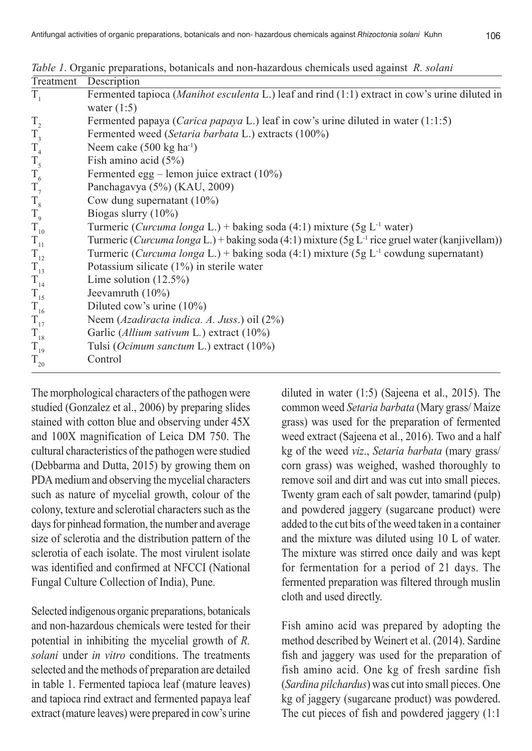|  |  | Table 1. Organic preparations, botanicals and non-hazardous chemicals used against R. solani |  |  |
|--|--|----------------------------------------------------------------------------------------------|--|--|
|  |  |                                                                                              |  |  |

| Treatment        | Description                                                                                                 |
|------------------|-------------------------------------------------------------------------------------------------------------|
| $T_{1}$          | Fermented tapioca ( <i>Manihot esculenta</i> L.) leaf and rind (1:1) extract in cow's urine diluted in      |
|                  | water $(1:5)$                                                                                               |
| $\rm T_{_2}$     | Fermented papaya ( <i>Carica papaya L</i> .) leaf in cow's urine diluted in water $(1:1:5)$                 |
| $\rm T_{_3}$     | Fermented weed (Setaria barbata L.) extracts (100%)                                                         |
| $T_{4}$          | Neem cake $(500 \text{ kg ha}^{-1})$                                                                        |
| $\mathrm{T}_5$   | Fish amino acid $(5\%)$                                                                                     |
| $\rm T_{_6}$     | Fermented egg – lemon juice extract $(10\%)$                                                                |
| $T_{7}$          | Panchagavya (5%) (KAU, 2009)                                                                                |
| $\rm T_{\rm 8}$  | Cow dung supernatant $(10\%)$                                                                               |
| $T_{9}$          | Biogas slurry $(10\%)$                                                                                      |
| $T_{10}$         | Turmeric ( <i>Curcuma longa</i> L.) + baking soda (4:1) mixture (5g L <sup>-1</sup> water)                  |
| $\rm T_{\rm 11}$ | Turmeric (Curcuma longa L.) + baking soda (4:1) mixture (5g L <sup>-1</sup> rice gruel water (kanjivellam)) |
| $T_{12}$         | Turmeric ( <i>Curcuma longa</i> L.) + baking soda (4:1) mixture (5g L <sup>-1</sup> cowdung supernatant)    |
| $T_{13}$         | Potassium silicate $(1\%)$ in sterile water                                                                 |
| $T_{14}$         | Lime solution $(12.5\%)$                                                                                    |
| $T_{15}$         | Jeevamruth $(10\%)$                                                                                         |
| $T_{16}$         | Diluted cow's urine $(10\%)$                                                                                |
| $T_{17}$         | Neem (Azadiracta indica. A. Juss.) oil (2%)                                                                 |
| $T_{18}$         | Garlic (Allium sativum L.) extract (10%)                                                                    |
| $T_{19}$         | Tulsi (Ocimum sanctum L.) extract (10%)                                                                     |
| $T_{20}$         | Control                                                                                                     |

The morphological characters of the pathogen were studied (Gonzalez et al., 2006) by preparing slides stained with cotton blue and observing under 45X and 100X magnification of Leica DM 750. The cultural characteristics of the pathogen were studied (Debbarma and Dutta, 2015) by growing them on PDA medium and observing the mycelial characters such as nature of mycelial growth, colour of the colony, texture and sclerotial characters such as the days for pinhead formation, the number and average size of sclerotia and the distribution pattern of the sclerotia of each isolate. The most virulent isolate was identified and confirmed at NFCCI (National Fungal Culture Collection of India), Pune.

Selected indigenous organic preparations, botanicals and non-hazardous chemicals were tested for their potential in inhibiting the mycelial growth of *R. solani* under *in vitro* conditions. The treatments selected and the methods of preparation are detailed in table 1. Fermented tapioca leaf (mature leaves) and tapioca rind extract and fermented papaya leaf extract (mature leaves) were prepared in cow's urine

diluted in water (1:5) (Sajeena et al., 2015). The common weed *Setaria barbata* (Mary grass/ Maize grass) was used for the preparation of fermented weed extract (Sajeena et al., 2016). Two and a half kg of the weed *viz*., *Setaria barbata* (mary grass/ corn grass) was weighed, washed thoroughly to remove soil and dirt and was cut into small pieces. Twenty gram each of salt powder, tamarind (pulp) and powdered jaggery (sugarcane product) were added to the cut bits of the weed taken in a container and the mixture was diluted using 10 L of water. The mixture was stirred once daily and was kept for fermentation for a period of 21 days. The fermented preparation was filtered through muslin cloth and used directly.

Fish amino acid was prepared by adopting the method described by Weinert et al. (2014). Sardine fish and jaggery was used for the preparation of fish amino acid. One kg of fresh sardine fish (*Sardina pilchardus*) was cut into small pieces. One kg of jaggery (sugarcane product) was powdered. The cut pieces of fish and powdered jaggery (1:1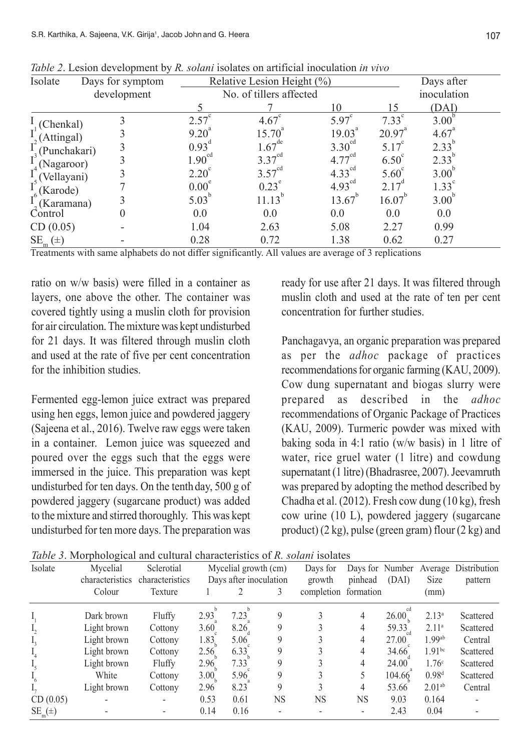| Isolate                                       | Days for symptom |                   | Relative Lesion Height (%) |                    |                 | Days after        |  |
|-----------------------------------------------|------------------|-------------------|----------------------------|--------------------|-----------------|-------------------|--|
|                                               | development      |                   | No. of tillers affected    | inoculation        |                 |                   |  |
|                                               |                  |                   |                            | 10                 | 15              | (DAI)             |  |
| (Chenkal)                                     |                  | 2.57              | $4.67$ <sup>c</sup>        | $5.97^\circ$       | $7.33^\circ$    | $3.00^{\circ}$    |  |
| (Attingal)                                    |                  | $9.20^{4}$        | $15.70^{\circ}$            | $19.03^{a}$        | $20.97^{\circ}$ | $4.67^{4}$        |  |
| (Punchakari)                                  |                  | 0.93 <sup>d</sup> | $1.67^{\text{de}}$         | $3.30^{\text{cd}}$ | 5.17            | 2.33              |  |
| (Nagaroor)                                    |                  | $1.90^{cd}$       | $3.37^{\text{cd}}$         | $4.77^{\text{cd}}$ | $6.50^\circ$    | 2.33              |  |
| $I^5(Vellayani)$                              |                  | $2.20^\circ$      | $3.57^{\text{cd}}$         | $4.33^{\text{cd}}$ | $5.60^\circ$    | $3.00^{\circ}$    |  |
| (Karode)                                      |                  | $0.00^{\circ}$    | $0.23^\circ$               | $4.93^{\text{cd}}$ | 217             | $1.33^{^{\circ}}$ |  |
| (Karamana)                                    |                  | $5.03^{b}$        | 11.13                      | $13.67^{b}$        | $16.07^{\circ}$ | $3.00^{\circ}$    |  |
| Control                                       | $\theta$         | 0.0               | 0.0                        | 0.0                | 0.0             | 0.0               |  |
| CD(0.05)                                      |                  | 1.04              | 2.63                       | 5.08               | 2.27            | 0.99              |  |
| $\underline{\text{SE}}_{\text{m}}$<br>$(\pm)$ |                  | 0.28              | 0.72                       | 1.38               | 0.62            | 0.27              |  |

*Table 2*. Lesion development by *R. solani* isolates on artificial inoculation *in vivo*

Treatments with same alphabets do not differ significantly. All values are average of 3 replications

ratio on w/w basis) were filled in a container as layers, one above the other. The container was covered tightly using a muslin cloth for provision for air circulation. The mixture was kept undisturbed for 21 days. It was filtered through muslin cloth and used at the rate of five per cent concentration for the inhibition studies.

Fermented egg-lemon juice extract was prepared using hen eggs, lemon juice and powdered jaggery (Sajeena et al., 2016). Twelve raw eggs were taken in a container. Lemon juice was squeezed and poured over the eggs such that the eggs were immersed in the juice. This preparation was kept undisturbed for ten days. On the tenthday, 500 g of powdered jaggery (sugarcane product) was added to the mixture and stirred thoroughly. This was kept undisturbed for ten more days. The preparation was

ready for use after 21 days. It was filtered through muslin cloth and used at the rate of ten per cent concentration for further studies.

Panchagavya, an organic preparation was prepared as per the *adhoc* package of practices recommendations for organic farming (KAU, 2009). Cow dung supernatant and biogas slurry were prepared as described in the *adhoc* recommendations of Organic Package of Practices (KAU, 2009). Turmeric powder was mixed with baking soda in 4:1 ratio (w/w basis) in 1 litre of water, rice gruel water (1 litre) and cowdung supernatant (1 litre) (Bhadrasree, 2007). Jeevamruth was prepared by adopting the method described by Chadha et al. (2012). Fresh cow dung (10 kg), fresh cow urine (10 L), powdered jaggery (sugarcane product) (2 kg), pulse (green gram) flour (2 kg) and

| Isolate     | Mycelial        | Sclerotial      | Mycelial growth (cm)   |      |           | Days for   |             | (DAI)       |                      | Days for Number Average Distribution |
|-------------|-----------------|-----------------|------------------------|------|-----------|------------|-------------|-------------|----------------------|--------------------------------------|
|             | characteristics | characteristics | Days after inoculation |      | growth    | pinhead    | <b>Size</b> |             | pattern              |                                      |
|             | Colour          | Texture         |                        |      |           | completion | formation   |             | (mm)                 |                                      |
|             | Dark brown      | Fluffy          | 2.93                   | 7.23 | 9         |            | 4           | cd<br>26.00 | 2.13 <sup>a</sup>    | Scattered                            |
|             | Light brown     | Cottony         | 3.60                   | 8.26 | 9         |            | 4           | 59.33       | 2.11 <sup>a</sup>    | Scattered                            |
|             | Light brown     | Cottony         | 1.83                   | 5.06 | 9         |            | 4           | 27.00       | $1.99$ <sup>ab</sup> | Central                              |
|             | Light brown     | Cottony         | 2.56                   | 6.33 | 9         |            | 4           | 34.66       | $1.91^{bc}$          | Scattered                            |
|             | Light brown     | Fluffy          | 2.96                   | 7.33 | 9         |            | 4           | 24.00       | $1.76^{\circ}$       | Scattered                            |
|             | White           | Cottony         | 3.00                   | 5.96 | 9         |            |             | 104.66      | 0.98 <sup>d</sup>    | Scattered                            |
|             | Light brown     | Cottony         | 2.96                   | 8.23 | 9         |            | 4           | 53.66       | $2.01^{ab}$          | Central                              |
| CD(0.05)    |                 |                 | 0.53                   | 0.61 | <b>NS</b> | NS         | NS          | 9.03        | 0.164                |                                      |
| $SE_m(\pm)$ |                 |                 | 0.14                   | 0.16 |           |            |             | 2.43        | 0.04                 |                                      |

*Table 3*. Morphological and cultural characteristics of *R. solani* isolates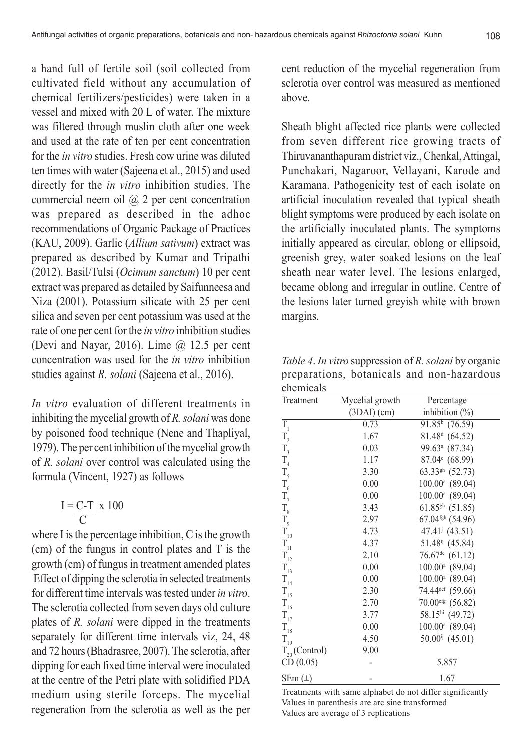a hand full of fertile soil (soil collected from cultivated field without any accumulation of chemical fertilizers/pesticides) were taken in a vessel and mixed with 20 L of water. The mixture was filtered through muslin cloth after one week and used at the rate of ten per cent concentration for the *in vitro* studies. Fresh cow urine was diluted ten times with water (Sajeena et al., 2015) and used directly for the *in vitro* inhibition studies. The commercial neem oil @ 2 per cent concentration was prepared as described in the adhoc recommendations of Organic Package of Practices (KAU, 2009). Garlic (*Allium sativum*) extract was prepared as described by Kumar and Tripathi (2012). Basil/Tulsi (*Ocimum sanctum*) 10 per cent extract was prepared as detailed by Saifunneesa and Niza (2001). Potassium silicate with 25 per cent silica and seven per cent potassium was used at the rate of one per cent for the *in vitro* inhibition studies (Devi and Nayar, 2016). Lime  $\omega$  12.5 per cent concentration was used for the *in vitro* inhibition studies against *R. solani* (Sajeena et al., 2016).

*In vitro* evaluation of different treatments in inhibiting the mycelial growth of *R. solani* was done by poisoned food technique (Nene and Thapliyal, 1979). The per cent inhibition of the mycelial growth of *R. solani* over control was calculated using the formula (Vincent, 1927) as follows

$$
I = \frac{C - T}{C} \times 100
$$

where I is the percentage inhibition, C is the growth (cm) of the fungus in control plates and T is the growth (cm) of fungus in treatment amended plates Effect of dipping the sclerotia in selected treatments for different time intervals was tested under *in vitro*. The sclerotia collected from seven days old culture plates of *R. solani* were dipped in the treatments separately for different time intervals viz, 24, 48 and 72 hours (Bhadrasree, 2007). The sclerotia, after dipping for each fixed time interval were inoculated at the centre of the Petri plate with solidified PDA medium using sterile forceps. The mycelial regeneration from the sclerotia as well as the per cent reduction of the mycelial regeneration from sclerotia over control was measured as mentioned above.

Sheath blight affected rice plants were collected from seven different rice growing tracts of Thiruvananthapuram district viz., Chenkal, Attingal, Punchakari, Nagaroor, Vellayani, Karode and Karamana. Pathogenicity test of each isolate on artificial inoculation revealed that typical sheath blight symptoms were produced by each isolate on the artificially inoculated plants. The symptoms initially appeared as circular, oblong or ellipsoid, greenish grey, water soaked lesions on the leaf sheath near water level. The lesions enlarged, became oblong and irregular in outline. Centre of the lesions later turned greyish white with brown margins.

*Table 4*. *In vitro* suppression of *R. solani* by organic preparations, botanicals and non-hazardous chemicals

| Treatment          | Mycelial growth | Percentage                       |
|--------------------|-----------------|----------------------------------|
|                    | (3DAI)(cm)      | inhibition $(\%)$                |
| $\overline{T}_1$   | 0.73            | $91.85^{\circ}$ (76.59)          |
| $\rm T_{_2}$       | 1.67            | 81.48 <sup>d</sup> (64.52)       |
| $T_{3}$            | 0.03            | 99.63 <sup>a</sup> (87.34)       |
| $T_{4}$            | 1.17            | 87.04° (68.99)                   |
| $T_{5}$            | 3.30            | $63.33^{gh}$ (52.73)             |
| $T_{6}$            | 0.00            | $100.00^a$ (89.04)               |
| $T_{7}$            | 0.00            | 100.00 <sup>a</sup> (89.04)      |
| $T_{\rm s}$        | 3.43            | $61.85$ <sup>gh</sup> $(51.85)$  |
| $T_{\text{g}}$     | 2.97            | $67.04$ <sup>fgh</sup> $(54.96)$ |
| $\rm T_{_{10}}$    | 4.73            | $47.41j$ (43.51)                 |
| $\rm T_{_{11}}$    | 4.37            | $51.48^{ij}$ (45.84)             |
| $T_{12}$           | 2.10            | $76.67$ <sup>de</sup> $(61.12)$  |
| $\rm T_{_{13}}$    | 0.00            | 100.00 <sup>a</sup> (89.04)      |
| $T_{14}$           | 0.00            | $100.00^a$ (89.04)               |
| $\rm T_{15}$       | 2.30            | 74.44 <sup>def</sup> (59.66)     |
| $\rm T_{16}$       | 2.70            | $70.00$ <sup>efg</sup> $(56.82)$ |
| $\rm T_{17}$       | 3.77            | 58.15hi (49.72)                  |
| $T_{18}$           | 0.00            | $100.00^a$ (89.04)               |
| $\rm T_{_{19}}$    | 4.50            | $50.00^{ij}$ (45.01)             |
| $T_{20}$ (Control) | 9.00            |                                  |
| CD(0.05)           |                 | 5.857                            |
| $SEm(\pm)$         |                 | 1.67                             |

Treatments with same alphabet do not differ significantly Values in parenthesis are arc sine transformed Values are average of 3 replications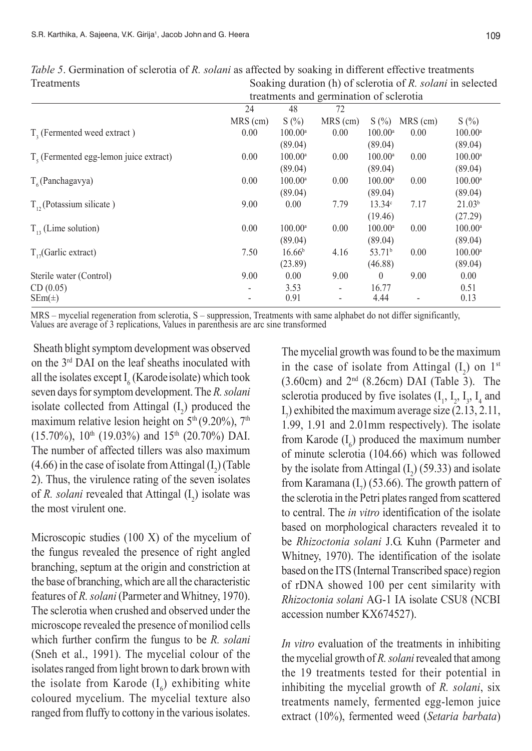|                                          | treatments and germination of sclerotia |                       |                          |                       |          |                    |  |
|------------------------------------------|-----------------------------------------|-----------------------|--------------------------|-----------------------|----------|--------------------|--|
|                                          | 24                                      | 48                    | 72                       |                       |          |                    |  |
|                                          | MRS (cm)                                | S(%)                  | MRS (cm)                 | S(%)                  | MRS (cm) | $S(\%)$            |  |
| $T2$ (Fermented weed extract)            | 0.00                                    | $100.00$ <sup>a</sup> | 0.00                     | $100.00$ <sup>a</sup> | 0.00     | $100.00^{\rm a}$   |  |
|                                          |                                         | (89.04)               |                          | (89.04)               |          | (89.04)            |  |
| $Ts$ (Fermented egg-lemon juice extract) | 0.00                                    | $100.00^{\rm a}$      | 0.00                     | $100.00^{\rm a}$      | 0.00     | $100.00^{\circ}$   |  |
|                                          |                                         | (89.04)               |                          | (89.04)               |          | (89.04)            |  |
| $T_c$ (Panchagavya)                      | 0.00                                    | $100.00^{\rm a}$      | 0.00                     | $100.00$ <sup>a</sup> | 0.00     | $100.00^{\rm a}$   |  |
|                                          |                                         | (89.04)               |                          | (89.04)               |          | (89.04)            |  |
| $T_{12}$ (Potassium silicate)            | 9.00                                    | 0.00                  | 7.79                     | 13.34c                | 7.17     | 21.03 <sup>b</sup> |  |
|                                          |                                         |                       |                          | (19.46)               |          | (27.29)            |  |
| $T_{12}$ (Lime solution)                 | 0.00                                    | $100.00^{\circ}$      | 0.00                     | $100.00$ <sup>a</sup> | 0.00     | $100.00^{\rm a}$   |  |
|                                          |                                         | (89.04)               |                          | (89.04)               |          | (89.04)            |  |
| $T_{17}$ (Garlic extract)                | 7.50                                    | 16.66 <sup>b</sup>    | 4.16                     | 53.71 <sup>b</sup>    | 0.00     | $100.00^{\circ}$   |  |
|                                          |                                         | (23.89)               |                          | (46.88)               |          | (89.04)            |  |
| Sterile water (Control)                  | 9.00                                    | 0.00                  | 9.00                     | $\theta$              | 9.00     | 0.00               |  |
| CD(0.05)                                 |                                         | 3.53                  | $\overline{\phantom{0}}$ | 16.77                 |          | 0.51               |  |
| $SEm(\pm)$                               |                                         | 0.91                  | $\overline{\phantom{0}}$ | 4.44                  |          | 0.13               |  |

*Table 5*. Germination of sclerotia of *R. solani* as affected by soaking in different effective treatments Treatments Soaking duration (h) of sclerotia of *R. solani* in selected

MRS – mycelial regeneration from sclerotia, S – suppression, Treatments with same alphabet do not differ significantly, Values are average of 3 replications, Values in parenthesis are arc sine transformed

 Sheath blight symptom development was observed on the 3rd DAI on the leaf sheaths inoculated with all the isolates except  $I_6$  (Karode isolate) which took seven days for symptom development. The *R. solani* isolate collected from Attingal  $(I_2)$  produced the maximum relative lesion height on  $5<sup>th</sup>(9.20\%)$ ,  $7<sup>th</sup>$  $(15.70\%)$ ,  $10^{th}$   $(19.03\%)$  and  $15^{th}$   $(20.70\%)$  DAI. The number of affected tillers was also maximum  $(4.66)$  in the case of isolate from Attingal  $(I_2)$  (Table 2). Thus, the virulence rating of the seven isolates of *R. solani* revealed that Attingal  $(I_2)$  isolate was the most virulent one.

Microscopic studies (100 X) of the mycelium of the fungus revealed the presence of right angled branching, septum at the origin and constriction at the base of branching, which are all the characteristic features of *R. solani* (Parmeter and Whitney, 1970). The sclerotia when crushed and observed under the microscope revealed the presence of moniliod cells which further confirm the fungus to be *R. solani* (Sneh et al., 1991). The mycelial colour of the isolates ranged from light brown to dark brown with the isolate from Karode  $(I_6)$  exhibiting white coloured mycelium. The mycelial texture also ranged from fluffy to cottony in the various isolates.

The mycelial growth was found to be the maximum in the case of isolate from Attingal  $(I_2)$  on  $1^{st}$  $(3.60cm)$  and  $2<sup>nd</sup>$   $(8.26cm)$  DAI (Table 3). The sclerotia produced by five isolates  $(I_1, I_2, I_3, I_4$  and  $I_7$ ) exhibited the maximum average size (2.13, 2.11, 1.99, 1.91 and 2.01mm respectively). The isolate from Karode  $(I_6)$  produced the maximum number of minute sclerotia (104.66) which was followed by the isolate from Attingal  $(I_2)$  (59.33) and isolate from Karamana  $(I_7)$  (53.66). The growth pattern of the sclerotia in the Petri plates ranged from scattered to central. The *in vitro* identification of the isolate based on morphological characters revealed it to be *Rhizoctonia solani* J.G. Kuhn (Parmeter and Whitney, 1970). The identification of the isolate based on the ITS (Internal Transcribed space) region of rDNA showed 100 per cent similarity with *Rhizoctonia solani* AG-1 IA isolate CSU8 (NCBI accession number KX674527).

*In vitro* evaluation of the treatments in inhibiting the mycelial growth of *R. solani* revealed that among the 19 treatments tested for their potential in inhibiting the mycelial growth of *R. solani*, six treatments namely, fermented egg-lemon juice extract (10%), fermented weed (*Setaria barbata*)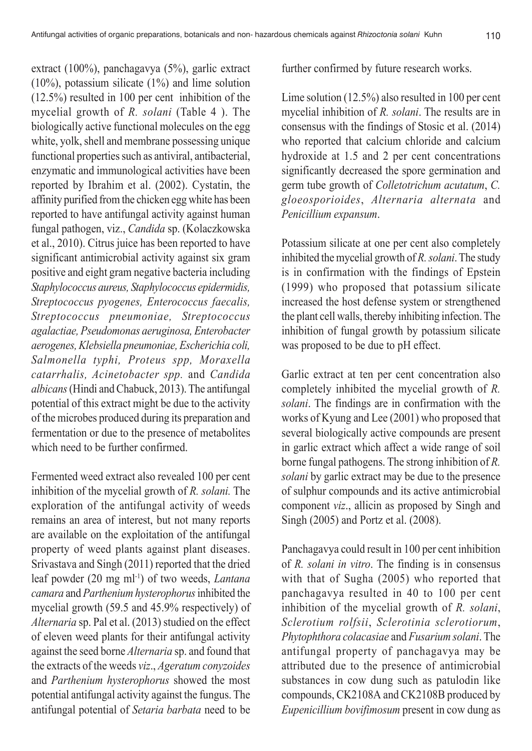extract (100%), panchagavya (5%), garlic extract (10%), potassium silicate (1%) and lime solution  $(12.5\%)$  resulted in 100 per cent inhibition of the mycelial growth of *R. solani* (Table 4 ). The biologically active functional molecules on the egg white, yolk, shell and membrane possessing unique functional properties such as antiviral, antibacterial, enzymatic and immunological activities have been reported by Ibrahim et al. (2002). Cystatin, the affinity purified from the chicken egg white has been reported to have antifungal activity against human fungal pathogen, viz., *Candida* sp. (Kolaczkowska et al., 2010). Citrus juice has been reported to have significant antimicrobial activity against six gram positive and eight gram negative bacteria including *Staphylococcus aureus, Staphylococcus epidermidis, Streptococcus pyogenes, Enterococcus faecalis, Streptococcus pneumoniae, Streptococcus agalactiae, Pseudomonas aeruginosa, Enterobacter aerogenes, Klebsiella pneumoniae, Escherichia coli, Salmonella typhi, Proteus spp, Moraxella catarrhalis, Acinetobacter spp.* and *Candida albicans* (Hindi and Chabuck, 2013). The antifungal potential of this extract might be due to the activity of the microbes produced during its preparation and fermentation or due to the presence of metabolites which need to be further confirmed.

Fermented weed extract also revealed 100 per cent inhibition of the mycelial growth of *R. solani.* The exploration of the antifungal activity of weeds remains an area of interest, but not many reports are available on the exploitation of the antifungal property of weed plants against plant diseases. Srivastava and Singh (2011) reported that the dried leaf powder (20 mg ml-1) of two weeds, *Lantana camara* and *Parthenium hysterophorus* inhibited the mycelial growth (59.5 and 45.9% respectively) of *Alternaria* sp. Pal et al. (2013) studied on the effect of eleven weed plants for their antifungal activity against the seed borne *Alternaria* sp. and found that the extracts of the weeds *viz*., *Ageratum conyzoides* and *Parthenium hysterophorus* showed the most potential antifungal activity against the fungus. The antifungal potential of *Setaria barbata* need to be

further confirmed by future research works.

Lime solution (12.5%) also resulted in 100 per cent mycelial inhibition of *R. solani*. The results are in consensus with the findings of Stosic et al. (2014) who reported that calcium chloride and calcium hydroxide at 1.5 and 2 per cent concentrations significantly decreased the spore germination and germ tube growth of *Colletotrichum acutatum*, *C. gloeosporioides*, *Alternaria alternata* and *Penicillium expansum*.

Potassium silicate at one per cent also completely inhibited the mycelial growth of *R. solani*. The study is in confirmation with the findings of Epstein (1999) who proposed that potassium silicate increased the host defense system or strengthened the plant cell walls, thereby inhibiting infection. The inhibition of fungal growth by potassium silicate was proposed to be due to pH effect.

Garlic extract at ten per cent concentration also completely inhibited the mycelial growth of *R. solani*. The findings are in confirmation with the works of Kyung and Lee (2001) who proposed that several biologically active compounds are present in garlic extract which affect a wide range of soil borne fungal pathogens. The strong inhibition of *R. solani* by garlic extract may be due to the presence of sulphur compounds and its active antimicrobial component *viz*., allicin as proposed by Singh and Singh (2005) and Portz et al. (2008).

Panchagavya could result in 100 per cent inhibition of *R. solani in vitro*. The finding is in consensus with that of Sugha (2005) who reported that panchagavya resulted in 40 to 100 per cent inhibition of the mycelial growth of *R. solani*, *Sclerotium rolfsii*, *Sclerotinia sclerotiorum*, *Phytophthora colacasiae* and *Fusarium solani*. The antifungal property of panchagavya may be attributed due to the presence of antimicrobial substances in cow dung such as patulodin like compounds, CK2108A and CK2108B produced by *Eupenicillium bovifimosum* present in cow dung as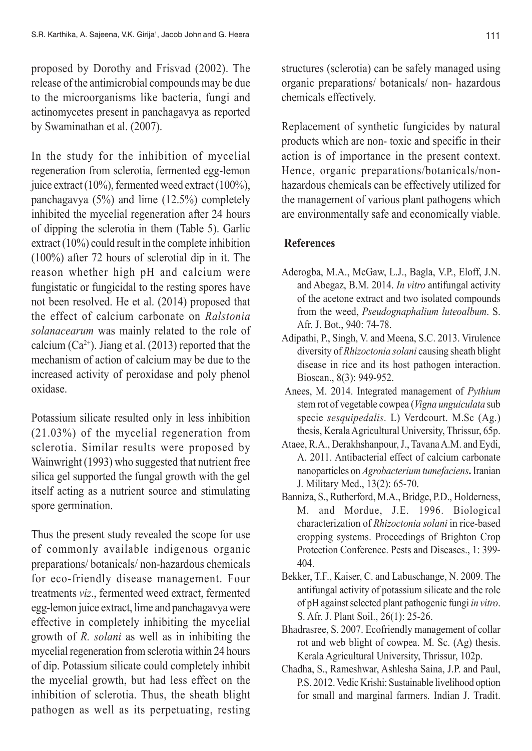proposed by Dorothy and Frisvad (2002). The release of the antimicrobial compounds may be due to the microorganisms like bacteria, fungi and actinomycetes present in panchagavya as reported by Swaminathan et al. (2007).

In the study for the inhibition of mycelial regeneration from sclerotia, fermented egg-lemon juice extract (10%), fermented weed extract (100%), panchagavya (5%) and lime (12.5%) completely inhibited the mycelial regeneration after 24 hours of dipping the sclerotia in them (Table 5). Garlic extract (10%) could result in the complete inhibition (100%) after 72 hours of sclerotial dip in it. The reason whether high pH and calcium were fungistatic or fungicidal to the resting spores have not been resolved. He et al. (2014) proposed that the effect of calcium carbonate on *Ralstonia solanacearum* was mainly related to the role of calcium  $(Ca^{2+})$ . Jiang et al. (2013) reported that the mechanism of action of calcium may be due to the increased activity of peroxidase and poly phenol oxidase.

Potassium silicate resulted only in less inhibition (21.03%) of the mycelial regeneration from sclerotia. Similar results were proposed by Wainwright (1993) who suggested that nutrient free silica gel supported the fungal growth with the gel itself acting as a nutrient source and stimulating spore germination.

Thus the present study revealed the scope for use of commonly available indigenous organic preparations/ botanicals/ non-hazardous chemicals for eco-friendly disease management. Four treatments *viz*., fermented weed extract, fermented egg-lemon juice extract, lime and panchagavya were effective in completely inhibiting the mycelial growth of *R. solani* as well as in inhibiting the mycelial regeneration from sclerotia within 24 hours of dip. Potassium silicate could completely inhibit the mycelial growth, but had less effect on the inhibition of sclerotia. Thus, the sheath blight pathogen as well as its perpetuating, resting

structures (sclerotia) can be safely managed using organic preparations/ botanicals/ non- hazardous chemicals effectively.

Replacement of synthetic fungicides by natural products which are non- toxic and specific in their action is of importance in the present context. Hence, organic preparations/botanicals/nonhazardous chemicals can be effectively utilized for the management of various plant pathogens which are environmentally safe and economically viable.

## **References**

- Aderogba, M.A., McGaw, L.J., Bagla, V.P., Eloff, J.N. and Abegaz, B.M. 2014. *In vitro* antifungal activity of the acetone extract and two isolated compounds from the weed, *Pseudognaphalium luteoalbum*. S. Afr. J. Bot., 940: 74-78.
- Adipathi, P., Singh, V. and Meena, S.C. 2013. Virulence diversity of *Rhizoctonia solani* causing sheath blight disease in rice and its host pathogen interaction. Bioscan., 8(3): 949-952.
- Anees, M. 2014. Integrated management of *Pythium* stem rot of vegetable cowpea (*Vigna unguiculata* sub specie *sesquipedalis*. L) Verdcourt. M.Sc (Ag.) thesis, Kerala Agricultural University, Thrissur, 65p.
- Ataee, R.A., Derakhshanpour, J., Tavana A.M. and Eydi, A. 2011. Antibacterial effect of calcium carbonate nanoparticles on *Agrobacterium tumefaciens***.** Iranian J. Military Med., 13(2): 65-70.
- Banniza, S., Rutherford, M.A., Bridge, P.D., Holderness, M. and Mordue, J.E. 1996. Biological characterization of *Rhizoctonia solani* in rice-based cropping systems. Proceedings of Brighton Crop Protection Conference. Pests and Diseases., 1: 399- 404.
- Bekker, T.F., Kaiser, C. and Labuschange, N. 2009. The antifungal activity of potassium silicate and the role of pH against selected plant pathogenic fungi *in vitro*. S. Afr. J. Plant Soil., 26(1): 25-26.
- Bhadrasree, S. 2007. Ecofriendly management of collar rot and web blight of cowpea. M. Sc. (Ag) thesis. Kerala Agricultural University, Thrissur, 102p.
- Chadha, S., Rameshwar, Ashlesha Saina, J.P. and Paul, P.S. 2012. Vedic Krishi: Sustainable livelihood option for small and marginal farmers. Indian J. Tradit.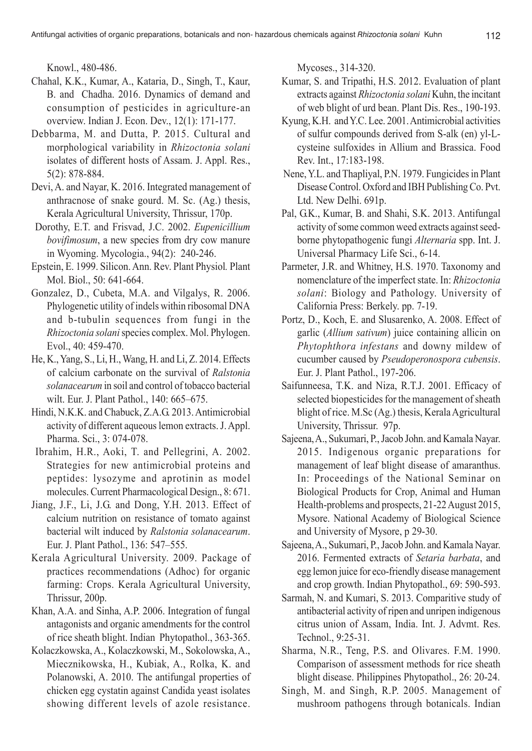Knowl., 480-486.

- Chahal, K.K., Kumar, A., Kataria, D., Singh, T., Kaur, B. and Chadha. 2016. Dynamics of demand and consumption of pesticides in agriculture-an overview. Indian J. Econ. Dev., 12(1): 171-177.
- Debbarma, M. and Dutta, P. 2015. Cultural and morphological variability in *Rhizoctonia solani* isolates of different hosts of Assam. J. Appl. Res., 5(2): 878-884.
- Devi, A. and Nayar, K. 2016. Integrated management of anthracnose of snake gourd. M. Sc. (Ag.) thesis, Kerala Agricultural University, Thrissur, 170p.
- Dorothy, E.T. and Frisvad, J.C. 2002. *Eupenicillium bovifimosum*, a new species from dry cow manure in Wyoming. Mycologia., 94(2): 240-246.
- Epstein, E. 1999. Silicon. Ann. Rev. Plant Physiol*.* Plant Mol. Biol., 50: 641-664.
- Gonzalez, D., Cubeta, M.A. and Vilgalys, R. 2006. Phylogenetic utility of indels within ribosomal DNA and b-tubulin sequences from fungi in the *Rhizoctonia solani* species complex. Mol. Phylogen. Evol., 40: 459-470.
- He, K., Yang, S., Li, H., Wang, H. and Li, Z. 2014. Effects of calcium carbonate on the survival of *Ralstonia solanacearum* in soil and control of tobacco bacterial wilt. Eur. J. Plant Pathol., 140: 665–675.
- Hindi, N.K.K. and Chabuck, Z.A.G. 2013. Antimicrobial activity of different aqueous lemon extracts. J. Appl. Pharma. Sci., 3: 074-078.
- Ibrahim, H.R., Aoki, T. and Pellegrini, A. 2002. Strategies for new antimicrobial proteins and peptides: lysozyme and aprotinin as model molecules. Current Pharmacological Design., 8: 671.
- Jiang, J.F., Li, J.G. and Dong, Y.H. 2013. Effect of calcium nutrition on resistance of tomato against bacterial wilt induced by *Ralstonia solanacearum*. Eur. J. Plant Pathol., 136: 547–555.
- Kerala Agricultural University. 2009. Package of practices recommendations (Adhoc) for organic farming: Crops. Kerala Agricultural University, Thrissur, 200p.
- Khan, A.A. and Sinha, A.P. 2006. Integration of fungal antagonists and organic amendments for the control of rice sheath blight. Indian Phytopathol., 363-365.
- Kolaczkowska, A., Kolaczkowski, M., Sokolowska, A., Miecznikowska, H., Kubiak, A., Rolka, K. and Polanowski, A. 2010. The antifungal properties of chicken egg cystatin against Candida yeast isolates showing different levels of azole resistance.

Mycoses., 314-320.

- Kumar, S. and Tripathi, H.S. 2012. Evaluation of plant extracts against *Rhizoctonia solani* Kuhn, the incitant of web blight of urd bean. Plant Dis. Res., 190-193.
- Kyung, K.H. and Y.C. Lee. 2001. Antimicrobial activities of sulfur compounds derived from S-alk (en) yl-Lcysteine sulfoxides in Allium and Brassica. Food Rev. Int., 17:183-198.
- Nene, Y.L. and Thapliyal, P.N. 1979. Fungicides in Plant Disease Control. Oxford and IBH Publishing Co. Pvt. Ltd. New Delhi. 691p.
- Pal, G.K., Kumar, B. and Shahi, S.K. 2013. Antifungal activity of some common weed extracts against seedborne phytopathogenic fungi *Alternaria* spp. Int. J. Universal Pharmacy Life Sci., 6-14.
- Parmeter, J.R. and Whitney, H.S. 1970. Taxonomy and nomenclature of the imperfect state. In: *Rhizoctonia solani*: Biology and Pathology. University of California Press: Berkely. pp. 7-19.
- Portz, D., Koch, E. and Slusarenko, A. 2008. Effect of garlic (*Allium sativum*) juice containing allicin on *Phytophthora infestans* and downy mildew of cucumber caused by *Pseudoperonospora cubensis*. Eur. J. Plant Pathol., 197-206.
- Saifunneesa, T.K. and Niza, R.T.J. 2001. Efficacy of selected biopesticides for the management of sheath blight of rice. M.Sc (Ag.) thesis, Kerala Agricultural University, Thrissur. 97p.
- Sajeena, A., Sukumari, P., Jacob John. and Kamala Nayar. 2015. Indigenous organic preparations for management of leaf blight disease of amaranthus. In: Proceedings of the National Seminar on Biological Products for Crop, Animal and Human Health-problems and prospects, 21-22 August 2015, Mysore. National Academy of Biological Science and University of Mysore, p 29-30.
- Sajeena, A., Sukumari, P., Jacob John. and Kamala Nayar. 2016. Fermented extracts of *Setaria barbata*, and egg lemon juice for eco-friendly disease management and crop growth. Indian Phytopathol., 69: 590-593.
- Sarmah, N. and Kumari, S. 2013. Comparitive study of antibacterial activity of ripen and unripen indigenous citrus union of Assam, India. Int. J. Advmt. Res. Technol., 9:25-31.
- Sharma, N.R., Teng, P.S. and Olivares. F.M. 1990. Comparison of assessment methods for rice sheath blight disease. Philippines Phytopathol., 26: 20-24.
- Singh, M. and Singh, R.P. 2005. Management of mushroom pathogens through botanicals. Indian